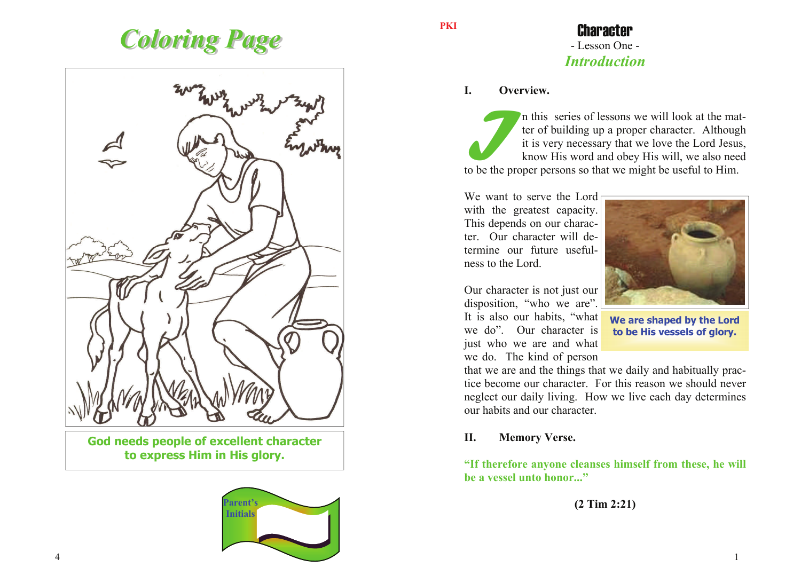# *Coloring Page Coloring Page*



**God needs people of excellent character to express Him in His glory.** 



**PKI** 

# Character - Lesson One - *Introduction*

#### **I. Overview.**

I**I** this series of lessons we will look at the matter of building up a proper character. Although it is very necessary that we love the Lord Jesus, know His word and obey His will, we also need to be the proper persons so that we might be useful to Him.

We want to serve the Lord with the greatest capacity. This depends on our character. Our character will determine our future usefulness to the Lord.

Our character is not just our disposition, "who we are". It is also our habits, "what we do". Our character is just who we are and what we do. The kind of person



**We are shaped by the Lord to be His vessels of glory.** 

that we are and the things that we daily and habitually practice become our character. For this reason we should never neglect our daily living. How we live each day determines our habits and our character.

#### **II. Memory Verse.**

**"If therefore anyone cleanses himself from these, he will be a vessel unto honor..."** 

**(2 Tim 2:21)**